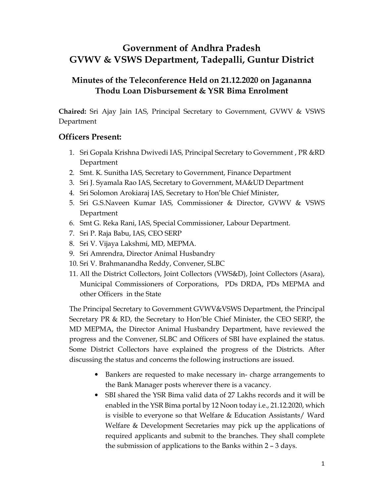## **Government of Andhra Pradesh GVWV & VSWS Department, Tadepalli, Guntur District**

## **Minutes of the Teleconference Held on 21.12.2020 on Jagananna Thodu Loan Disbursement & YSR Bima Enrolment**

**Chaired:** Sri Ajay Jain IAS, Principal Secretary to Government, GVWV & VSWS Department

## **Officers Present:**

- 1. Sri Gopala Krishna Dwivedi IAS, Principal Secretary to Government , PR &RD Department
- 2. Smt. K. Sunitha IAS, Secretary to Government, Finance Department
- 3. Sri J. Syamala Rao IAS, Secretary to Government, MA&UD Department
- 4. Sri Solomon Arokiaraj IAS, Secretary to Hon'ble Chief Minister,
- 5. Sri G.S.Naveen Kumar IAS, Commissioner & Director, GVWV & VSWS Department
- 6. Smt G. Reka Rani, IAS, Special Commissioner, Labour Department.
- 7. Sri P. Raja Babu, IAS, CEO SERP
- 8. Sri V. Vijaya Lakshmi, MD, MEPMA.
- 9. Sri Amrendra, Director Animal Husbandry
- 10. Sri V. Brahmanandha Reddy, Convener, SLBC
- 11. All the District Collectors, Joint Collectors (VWS&D), Joint Collectors (Asara), Municipal Commissioners of Corporations, PDs DRDA, PDs MEPMA and other Officers in the State

The Principal Secretary to Government GVWV&VSWS Department, the Principal Secretary PR & RD, the Secretary to Hon'ble Chief Minister, the CEO SERP, the MD MEPMA, the Director Animal Husbandry Department, have reviewed the progress and the Convener, SLBC and Officers of SBI have explained the status. Some District Collectors have explained the progress of the Districts. After discussing the status and concerns the following instructions are issued.

- Bankers are requested to make necessary in- charge arrangements to the Bank Manager posts wherever there is a vacancy.
- SBI shared the YSR Bima valid data of 27 Lakhs records and it will be enabled in the YSR Bima portal by 12 Noon today i.e., 21.12.2020, which is visible to everyone so that Welfare & Education Assistants/ Ward Welfare & Development Secretaries may pick up the applications of required applicants and submit to the branches. They shall complete the submission of applications to the Banks within 2 – 3 days.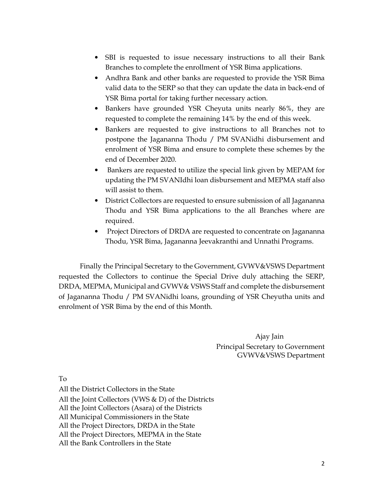- SBI is requested to issue necessary instructions to all their Bank Branches to complete the enrollment of YSR Bima applications.
- Andhra Bank and other banks are requested to provide the YSR Bima valid data to the SERP so that they can update the data in back-end of YSR Bima portal for taking further necessary action.
- Bankers have grounded YSR Cheyuta units nearly 86%, they are requested to complete the remaining 14% by the end of this week.
- Bankers are requested to give instructions to all Branches not to postpone the Jagananna Thodu / PM SVANidhi disbursement and enrolment of YSR Bima and ensure to complete these schemes by the end of December 2020.
- Bankers are requested to utilize the special link given by MEPAM for updating the PM SVANIdhi loan disbursement and MEPMA staff also will assist to them.
- District Collectors are requested to ensure submission of all Jagananna Thodu and YSR Bima applications to the all Branches where are required.
- Project Directors of DRDA are requested to concentrate on Jagananna Thodu, YSR Bima, Jagananna Jeevakranthi and Unnathi Programs.

Finally the Principal Secretary to the Government, GVWV&VSWS Department requested the Collectors to continue the Special Drive duly attaching the SERP, DRDA, MEPMA, Municipal and GVWV& VSWS Staff and complete the disbursement of Jagananna Thodu / PM SVANidhi loans, grounding of YSR Cheyutha units and enrolment of YSR Bima by the end of this Month.

> Ajay Jain Principal Secretary to Government GVWV&VSWS Department

To

All the District Collectors in the State All the Joint Collectors (VWS & D) of the Districts All the Joint Collectors (Asara) of the Districts All Municipal Commissioners in the State All the Project Directors, DRDA in the State All the Project Directors, MEPMA in the State All the Bank Controllers in the State